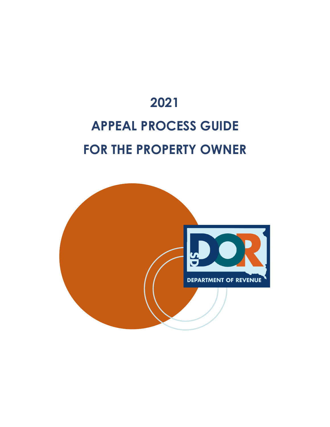# **2021 APPEAL PROCESS GUIDE FOR THE PROPERTY OWNER**

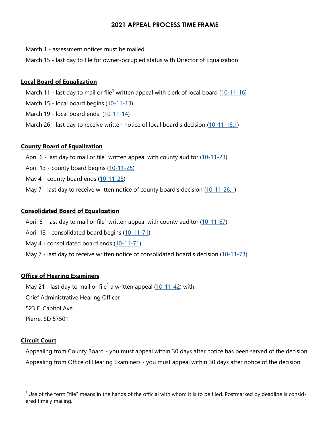## **2021 APPEAL PROCESS TIME FRAME**

March 1 - assessment notices must be mailed

March 15 - last day to file for owner-occupied status with Director of Equalization

## **Local Board of Equalization**

March 11 - last day to mail or file<sup>1</sup> written appeal with clerk of local board (10-11-[16\)](http://sdlegislature.gov/statutes/Codified_laws/DisplayStatute.aspx?Statute=10-11-16&Type=Statute)

March 15 - local board begins (10-11-[13\)](http://sdlegislature.gov/statutes/Codified_laws/DisplayStatute.aspx?Statute=10-11-13&Type=Statute)

March 19 - local board ends (10-11-[14\)](http://sdlegislature.gov/statutes/Codified_laws/DisplayStatute.aspx?Statute=10-11-14&Type=Statute)

March 26 - last day to receive written notice of local board's decision (10-11-[16.1\)](http://sdlegislature.gov/statutes/Codified_laws/DisplayStatute.aspx?Statute=10-11-16.1&Type=Statute)

#### **County Board of Equalization**

April 6 - last day to mail or file<sup>1</sup> written appeal with county auditor  $(10-11-23)$  $(10-11-23)$ 

April 13 - county board begins (10-11-[25\)](http://sdlegislature.gov/statutes/Codified_laws/DisplayStatute.aspx?Statute=10-11-25&Type=Statute)

May 4 - county board ends (10-11-[25\)](http://sdlegislature.gov/statutes/Codified_laws/DisplayStatute.aspx?Statute=10-11-25&Type=Statute)

May 7 - last day to receive written notice of county board's decision (10-11-[26.1\)](http://sdlegislature.gov/statutes/Codified_laws/DisplayStatute.aspx?Statute=10-11-26.1&Type=Statute)

## **Consolidated Board of Equalization**

April 6 - last day to mail or file<sup>1</sup> written appeal with county auditor  $(10-11-67)$  $(10-11-67)$ 

April 13 - consolidated board begins (10-11-[71\)](http://sdlegislature.gov/statutes/Codified_laws/DisplayStatute.aspx?Statute=10-11-71&Type=Statute)

May 4 - consolidated board ends (10-11-[71\)](http://sdlegislature.gov/statutes/Codified_laws/DisplayStatute.aspx?Statute=10-11-71&Type=Statute)

May 7 - last day to receive written notice of consolidated board's decision (10-11-[73\)](http://sdlegislature.gov/statutes/Codified_laws/DisplayStatute.aspx?Statute=10-11-73&Type=Statute)

# **Office of Hearing Examiners**

May 21 - last day to mail or file<sup>1</sup> a written appeal  $(10-11-42)$  $(10-11-42)$  with:

Chief Administrative Hearing Officer

523 E. Capitol Ave

Pierre, SD 57501

#### **Circuit Court**

Appealing from County Board - you must appeal within 30 days after notice has been served of the decision. Appealing from Office of Hearing Examiners - you must appeal within 30 days after notice of the decision.

 $1$ Use of the term "file" means in the hands of the official with whom it is to be filed. Postmarked by deadline is considered timely mailing.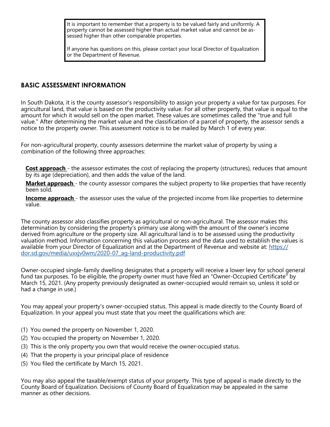It is important to remember that a property is to be valued fairly and uniformly. A property cannot be assessed higher than actual market value and cannot be assessed higher than other comparable properties.

If anyone has questions on this, please contact your local Director of Equalization or the Department of Revenue.

## **BASIC ASSESSMENT INFORMATION**

In South Dakota, it is the county assessor's responsibility to assign your property a value for tax purposes. For agricultural land, that value is based on the productivity value. For all other property, that value is equal to the amount for which it would sell on the open market. These values are sometimes called the "true and full value." After determining the market value and the classification of a parcel of property, the assessor sends a notice to the property owner. This assessment notice is to be mailed by March 1 of every year.

For non-agricultural property, county assessors determine the market value of property by using a combination of the following three approaches:

**Cost approach** - the assessor estimates the cost of replacing the property (structures), reduces that amount by its age (depreciation), and then adds the value of the land.

**Market approach** - the county assessor compares the subject property to like properties that have recently been sold.

**Income approach** - the assessor uses the value of the projected income from like properties to determine value.

The county assessor also classifies property as agricultural or non-agricultural. The assessor makes this determination by considering the property's primary use along with the amount of the owner's income derived from agriculture or the property size. All agricultural land is to be assessed using the productivity valuation method. Information concerning this valuation process and the data used to establish the values is available from your Director of Equalization and at the Department of Revenue and website at: [https://](https://dor.sd.gov/media/uxxjv0wm/2020-07_ag-land-productivity.pdf) [dor.sd.gov/media/uxxjv0wm/2020](https://dor.sd.gov/media/uxxjv0wm/2020-07_ag-land-productivity.pdf)-07\_ag-land-productivity.pdf

Owner-occupied single-family dwelling designates that a property will receive a lower levy for school general fund tax purposes. To be eligible, the property owner must have filed an "Owner-Occupied Certificate" by March 15, 2021. (Any property previously designated as owner-occupied would remain so, unless it sold or had a change in use.)

You may appeal your property's owner-occupied status. This appeal is made directly to the County Board of Equalization. In your appeal you must state that you meet the qualifications which are:

- (1) You owned the property on November 1, 2020.
- (2) You occupied the property on November 1, 2020.
- (3) This is the only property you own that would receive the owner-occupied status.
- (4) That the property is your principal place of residence
- (5) You filed the certificate by March 15, 2021.

You may also appeal the taxable/exempt status of your property. This type of appeal is made directly to the County Board of Equalization. Decisions of County Board of Equalization may be appealed in the same manner as other decisions.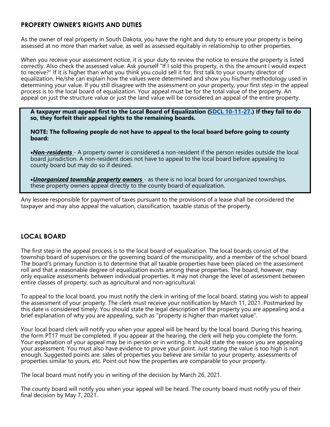# **PROPERTY OWNER'S RIGHTS AND DUTIES**

As the owner of real property in South Dakota, you have the right and duty to ensure your property is being assessed at no more than market value, as well as assessed equitably in relationship to other properties.

When you receive your assessment notice, it is your duty to review the notice to ensure the property is listed correctly. Also check the assessed value. Ask yourself "If I sold this property, is this the amount I would expect to receive?" If it is higher than what you think you could sell it for, first talk to your county director of equalization. He/she can explain how the values were determined and show you his/her methodology used in determining your value. If you still disagree with the assessment on your property, your first step in the appeal process is to the local board of equalization. Your appeal must be for the total value of the property. An appeal on just the structure value or just the land value will be considered an appeal of the entire property.

**A taxpayer must appeal first to the Local Board of Equalization [\(SDCL 10](https://sdlegislature.gov/Statutes/Codified_Laws/2037823)-11-27.) If they fail to do so, they forfeit their appeal rights to the remaining boards.** 

**NOTE: The following people do not have to appeal to the local board before going to county board:** 

•*Non-residents* - A property owner is considered a non-resident if the person resides outside the local board jurisdiction. A non-resident does not have to appeal to the local board before appealing to county board but may do so if desired.

•*Unorganized township property owners* - as there is no local board for unorganized townships, these property owners appeal directly to the county board of equalization.

Any lessee responsible for payment of taxes pursuant to the provisions of a lease shall be considered the taxpayer and may also appeal the valuation, classification, taxable status of the property.

# **LOCAL BOARD**

The first step in the appeal process is to the local board of equalization. The local boards consist of the township board of supervisors or the governing board of the municipality, and a member of the school board. The board's primary function is to determine that all taxable properties have been placed on the assessment roll and that a reasonable degree of equalization exists among these properties. The board, however, may only equalize assessments between individual properties. It may not change the level of assessment between entire classes of property, such as agricultural and non-agricultural.

To appeal to the local board, you must notify the clerk in writing of the local board, stating you wish to appeal the assessment of your property. The clerk must receive your notification by March 11, 2021. Postmarked by this date is considered timely. You should state the legal description of the property you are appealing and a brief explanation of why you are appealing, such as "property is higher than market value".

Your local board clerk will notify you when your appeal will be heard by the local board. During this hearing, the form PT17 must be completed. If you appear at the hearing, the clerk will help you complete the form. Your explanation of your appeal may be in person or in writing. It should state the reason you are appealing your assessment. You must also have evidence to prove your point. Just stating the value is too high is not enough. Suggested points are: sales of properties you believe are similar to your property, assessments of properties similar to yours, etc. Point out how the properties are comparable to your property.

The local board must notify you in writing of the decision by March 26, 2021.

The county board will notify you when your appeal will be heard. The county board must notify you of their final decision by May 7, 2021.